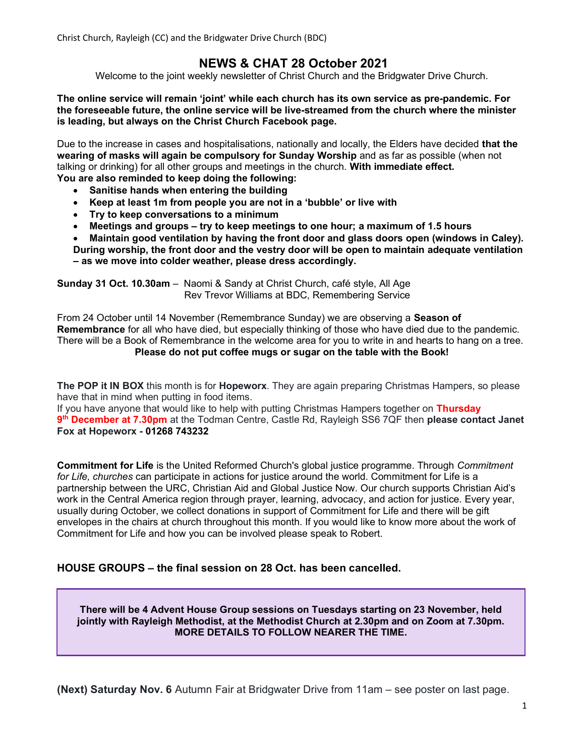Christ Church, Rayleigh (CC) and the Bridgwater Drive Church (BDC)

## NEWS & CHAT 28 October 2021

Welcome to the joint weekly newsletter of Christ Church and the Bridgwater Drive Church.

The online service will remain 'joint' while each church has its own service as pre-pandemic. For the foreseeable future, the online service will be live-streamed from the church where the minister is leading, but always on the Christ Church Facebook page.

Due to the increase in cases and hospitalisations, nationally and locally, the Elders have decided that the wearing of masks will again be compulsory for Sunday Worship and as far as possible (when not talking or drinking) for all other groups and meetings in the church. With immediate effect. You are also reminded to keep doing the following:

- Sanitise hands when entering the building
- Keep at least 1m from people you are not in a 'bubble' or live with
- Try to keep conversations to a minimum
- Meetings and groups try to keep meetings to one hour; a maximum of 1.5 hours
- Maintain good ventilation by having the front door and glass doors open (windows in Caley).
- During worship, the front door and the vestry door will be open to maintain adequate ventilation – as we move into colder weather, please dress accordingly.

Sunday 31 Oct. 10.30am – Naomi & Sandy at Christ Church, café style, All Age Rev Trevor Williams at BDC, Remembering Service

From 24 October until 14 November (Remembrance Sunday) we are observing a **Season of** Remembrance for all who have died, but especially thinking of those who have died due to the pandemic. There will be a Book of Remembrance in the welcome area for you to write in and hearts to hang on a tree. Please do not put coffee mugs or sugar on the table with the Book!

The POP it IN BOX this month is for Hopeworx. They are again preparing Christmas Hampers, so please have that in mind when putting in food items.

If you have anyone that would like to help with putting Christmas Hampers together on Thursday 9<sup>th</sup> December at 7.30pm at the Todman Centre, Castle Rd, Rayleigh SS6 7QF then please contact Janet Fox at Hopeworx - 01268 743232

**Commitment for Life** is the United Reformed Church's global justice programme. Through Commitment for Life, churches can participate in actions for justice around the world. Commitment for Life is a partnership between the URC, Christian Aid and Global Justice Now. Our church supports Christian Aid's work in the Central America region through prayer, learning, advocacy, and action for justice. Every year, usually during October, we collect donations in support of Commitment for Life and there will be gift envelopes in the chairs at church throughout this month. If you would like to know more about the work of Commitment for Life and how you can be involved please speak to Robert.

#### HOUSE GROUPS – the final session on 28 Oct. has been cancelled.

There will be 4 Advent House Group sessions on Tuesdays starting on 23 November, held jointly with Rayleigh Methodist, at the Methodist Church at 2.30pm and on Zoom at 7.30pm. MORE DETAILS TO FOLLOW NEARER THE TIME.

(Next) Saturday Nov. 6 Autumn Fair at Bridgwater Drive from 11am – see poster on last page.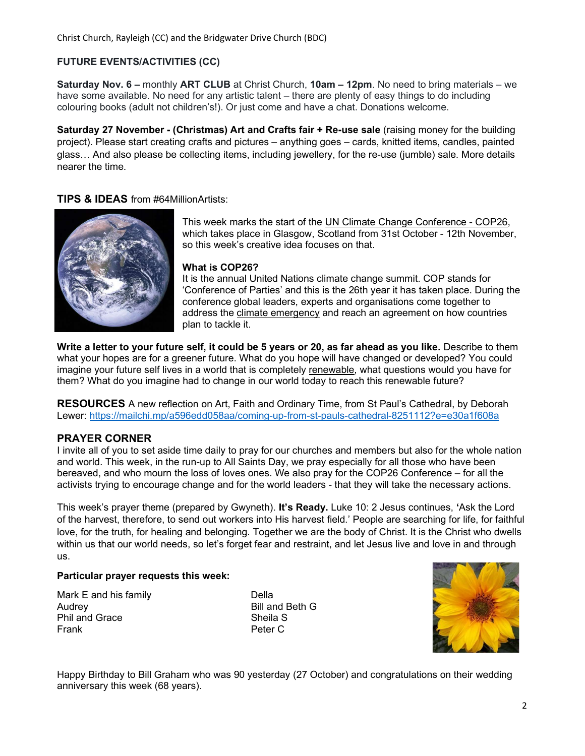#### FUTURE EVENTS/ACTIVITIES (CC)

Saturday Nov. 6 – monthly ART CLUB at Christ Church, 10am – 12pm. No need to bring materials – we have some available. No need for any artistic talent – there are plenty of easy things to do including colouring books (adult not children's!). Or just come and have a chat. Donations welcome.

Saturday 27 November - (Christmas) Art and Crafts fair + Re-use sale (raising money for the building project). Please start creating crafts and pictures – anything goes – cards, knitted items, candles, painted glass… And also please be collecting items, including jewellery, for the re-use (jumble) sale. More details nearer the time.

#### TIPS & IDEAS from #64MillionArtists:



This week marks the start of the UN Climate Change Conference - COP26, which takes place in Glasgow, Scotland from 31st October - 12th November, so this week's creative idea focuses on that.

#### What is COP26?

It is the annual United Nations climate change summit. COP stands for 'Conference of Parties' and this is the 26th year it has taken place. During the conference global leaders, experts and organisations come together to address the climate emergency and reach an agreement on how countries plan to tackle it.

Write a letter to your future self, it could be 5 years or 20, as far ahead as you like. Describe to them what your hopes are for a greener future. What do you hope will have changed or developed? You could imagine your future self lives in a world that is completely renewable, what questions would you have for them? What do you imagine had to change in our world today to reach this renewable future?

RESOURCES A new reflection on Art, Faith and Ordinary Time, from St Paul's Cathedral, by Deborah Lewer: https://mailchi.mp/a596edd058aa/coming-up-from-st-pauls-cathedral-8251112?e=e30a1f608a

#### PRAYER CORNER

I invite all of you to set aside time daily to pray for our churches and members but also for the whole nation and world. This week, in the run-up to All Saints Day, we pray especially for all those who have been bereaved, and who mourn the loss of loves ones. We also pray for the COP26 Conference – for all the activists trying to encourage change and for the world leaders - that they will take the necessary actions.

This week's prayer theme (prepared by Gwyneth). It's Ready. Luke 10: 2 Jesus continues, 'Ask the Lord of the harvest, therefore, to send out workers into His harvest field.' People are searching for life, for faithful love, for the truth, for healing and belonging. Together we are the body of Christ. It is the Christ who dwells within us that our world needs, so let's forget fear and restraint, and let Jesus live and love in and through us.

#### Particular prayer requests this week:

Mark E and his family **Della** Audrey **Bill and Beth G** Phil and Grace Sheila S Frank **Peter C** 



Happy Birthday to Bill Graham who was 90 yesterday (27 October) and congratulations on their wedding anniversary this week (68 years).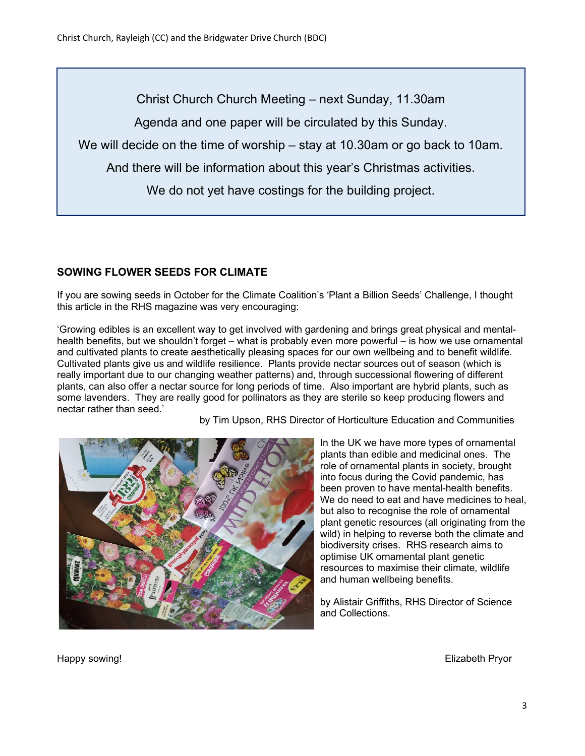Christ Church Church Meeting – next Sunday, 11.30am Agenda and one paper will be circulated by this Sunday. We will decide on the time of worship – stay at 10.30am or go back to 10am. And there will be information about this year's Christmas activities. We do not yet have costings for the building project.

### SOWING FLOWER SEEDS FOR CLIMATE

If you are sowing seeds in October for the Climate Coalition's 'Plant a Billion Seeds' Challenge, I thought this article in the RHS magazine was very encouraging:

'Growing edibles is an excellent way to get involved with gardening and brings great physical and mentalhealth benefits, but we shouldn't forget – what is probably even more powerful – is how we use ornamental and cultivated plants to create aesthetically pleasing spaces for our own wellbeing and to benefit wildlife. Cultivated plants give us and wildlife resilience. Plants provide nectar sources out of season (which is really important due to our changing weather patterns) and, through successional flowering of different plants, can also offer a nectar source for long periods of time. Also important are hybrid plants, such as some lavenders. They are really good for pollinators as they are sterile so keep producing flowers and nectar rather than seed.'

by Tim Upson, RHS Director of Horticulture Education and Communities



In the UK we have more types of ornamental plants than edible and medicinal ones. The role of ornamental plants in society, brought into focus during the Covid pandemic, has been proven to have mental-health benefits. We do need to eat and have medicines to heal, but also to recognise the role of ornamental plant genetic resources (all originating from the wild) in helping to reverse both the climate and biodiversity crises. RHS research aims to optimise UK ornamental plant genetic resources to maximise their climate, wildlife and human wellbeing benefits.

by Alistair Griffiths, RHS Director of Science and Collections.

Happy sowing! Elizabeth Pryor